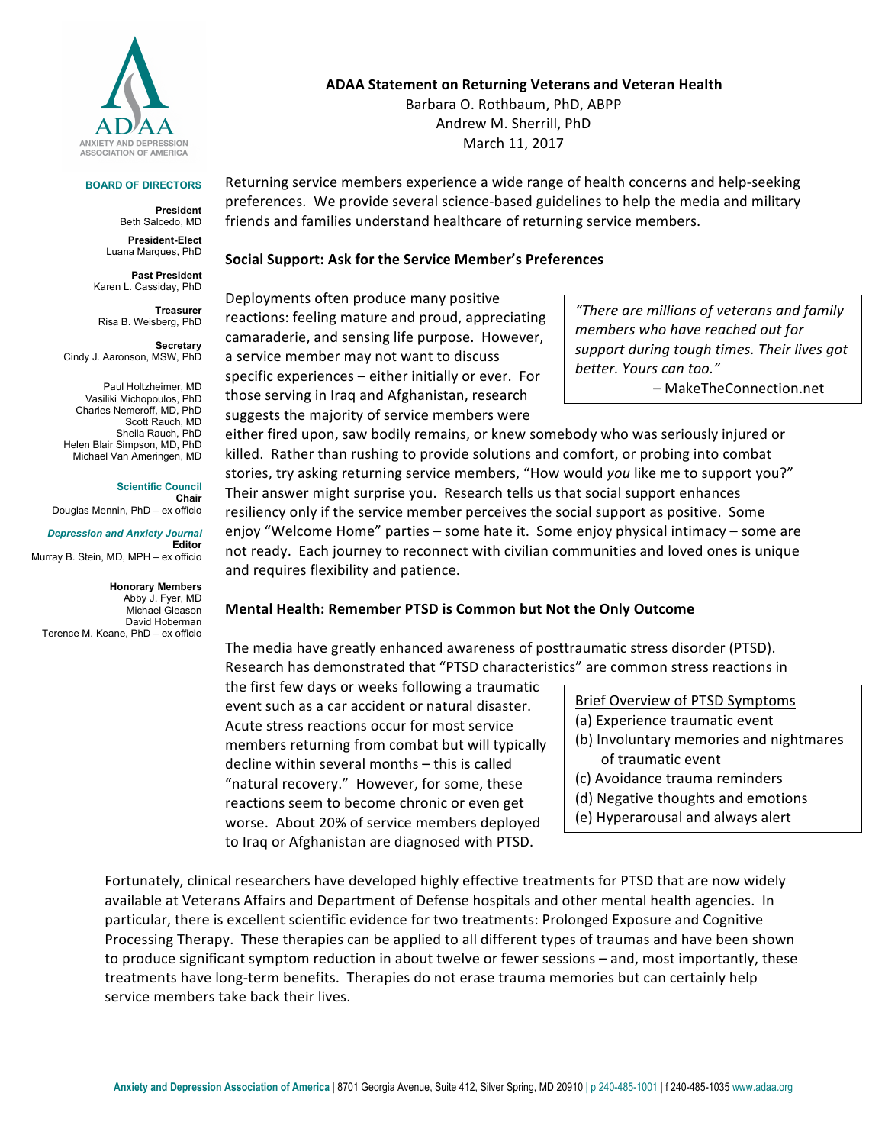

#### **BOARD OF DIRECTORS**

**President** Beth Salcedo, MD

**President-Elect** Luana Marques, PhD

**Past President** Karen L. Cassiday, PhD

**Treasurer** Risa B. Weisberg, PhD

**Secretary**  Cindy J. Aaronson, MSW, PhD

Paul Holtzheimer, MD Vasiliki Michopoulos, PhD Charles Nemeroff, MD, PhD Scott Rauch, MD Sheila Rauch, PhD Helen Blair Simpson, MD, PhD Michael Van Ameringen, MD

**Scientific Council Chair** Douglas Mennin, PhD – ex officio

*Depression and Anxiety Journal* **Editor** Murray B. Stein, MD, MPH – ex officio

**Honorary Members** Abby J. Fyer, MD Michael Gleason David Hoberman Terence M. Keane, PhD – ex officio

#### **ADAA Statement on Returning Veterans and Veteran Health**

Barbara O. Rothbaum, PhD, ABPP Andrew M. Sherrill, PhD March 11, 2017

Returning service members experience a wide range of health concerns and help-seeking preferences. We provide several science-based guidelines to help the media and military friends and families understand healthcare of returning service members.

### **Social Support: Ask for the Service Member's Preferences**

Deployments often produce many positive reactions: feeling mature and proud, appreciating camaraderie, and sensing life purpose. However, a service member may not want to discuss specific experiences  $-$  either initially or ever. For those serving in Iraq and Afghanistan, research suggests the majority of service members were

*"There are millions of veterans and family members* who have reached out for support during tough times. Their lives got *better. Yours can too."*

– MakeTheConnection.net

either fired upon, saw bodily remains, or knew somebody who was seriously injured or killed. Rather than rushing to provide solutions and comfort, or probing into combat stories, try asking returning service members, "How would you like me to support you?" Their answer might surprise you. Research tells us that social support enhances resiliency only if the service member perceives the social support as positive. Some enjoy "Welcome Home" parties - some hate it. Some enjoy physical intimacy - some are not ready. Each journey to reconnect with civilian communities and loved ones is unique and requires flexibility and patience.

## **Mental Health: Remember PTSD is Common but Not the Only Outcome**

The media have greatly enhanced awareness of posttraumatic stress disorder (PTSD). Research has demonstrated that "PTSD characteristics" are common stress reactions in

the first few days or weeks following a traumatic event such as a car accident or natural disaster. Acute stress reactions occur for most service members returning from combat but will typically decline within several months - this is called "natural recovery." However, for some, these reactions seem to become chronic or even get worse. About 20% of service members deployed to Iraq or Afghanistan are diagnosed with PTSD.

Brief Overview of PTSD Symptoms

- (a) Experience traumatic event
- (b) Involuntary memories and nightmares of traumatic event
- (c) Avoidance trauma reminders
- (d) Negative thoughts and emotions
- (e) Hyperarousal and always alert

Fortunately, clinical researchers have developed highly effective treatments for PTSD that are now widely available at Veterans Affairs and Department of Defense hospitals and other mental health agencies. In particular, there is excellent scientific evidence for two treatments: Prolonged Exposure and Cognitive Processing Therapy. These therapies can be applied to all different types of traumas and have been shown to produce significant symptom reduction in about twelve or fewer sessions – and, most importantly, these treatments have long-term benefits. Therapies do not erase trauma memories but can certainly help service members take back their lives.